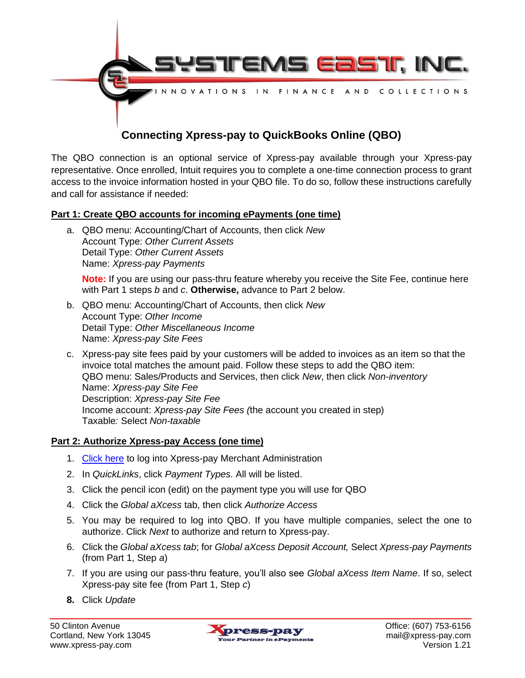

The QBO connection is an optional service of Xpress-pay available through your Xpress-pay representative. Once enrolled, Intuit requires you to complete a one-time connection process to grant access to the invoice information hosted in your QBO file. To do so, follow these instructions carefully and call for assistance if needed:

## **Part 1: Create QBO accounts for incoming ePayments (one time)**

a. QBO menu: Accounting/Chart of Accounts, then click *New* Account Type: *Other Current Assets* Detail Type: *Other Current Assets* Name: *Xpress-pay Payments*

**Note:** If you are using our pass-thru feature whereby you receive the Site Fee, continue here with Part 1 steps *b* and *c*. **Otherwise,** advance to Part 2 below.

- b. QBO menu: Accounting/Chart of Accounts, then click *New* Account Type: *Other Income* Detail Type: *Other Miscellaneous Income* Name: *Xpress-pay Site Fees*
- c. Xpress-pay site fees paid by your customers will be added to invoices as an item so that the invoice total matches the amount paid. Follow these steps to add the QBO item: QBO menu: Sales/Products and Services, then click *New*, then click *Non-inventory* Name: *Xpress-pay Site Fee* Description: *Xpress-pay Site Fee* Income account: *Xpress-pay Site Fees (*the account you created in step) Taxable*:* Select *Non-taxable*

## **Part 2: Authorize Xpress-pay Access (one time)**

- 1. [Click here](https://xpc-admin.xpress-pay.com/user/login) to log into Xpress-pay Merchant Administration
- 2. In *QuickLinks*, click *Payment Types*. All will be listed.
- 3. Click the pencil icon (edit) on the payment type you will use for QBO
- 4. Click the *Global aXcess* tab, then click *Authorize Access*
- 5. You may be required to log into QBO. If you have multiple companies, select the one to authorize. Click *Next* to authorize and return to Xpress-pay.
- 6. Click the *Global aXcess tab*; for *Global aXcess Deposit Account,* Select *Xpress-pay Payments* (from Part 1, Step *a*)
- 7. If you are using our pass-thru feature, you'll also see *Global aXcess Item Name*. If so, select Xpress-pay site fee (from Part 1, Step *c*)
- **8.** Click *Update*

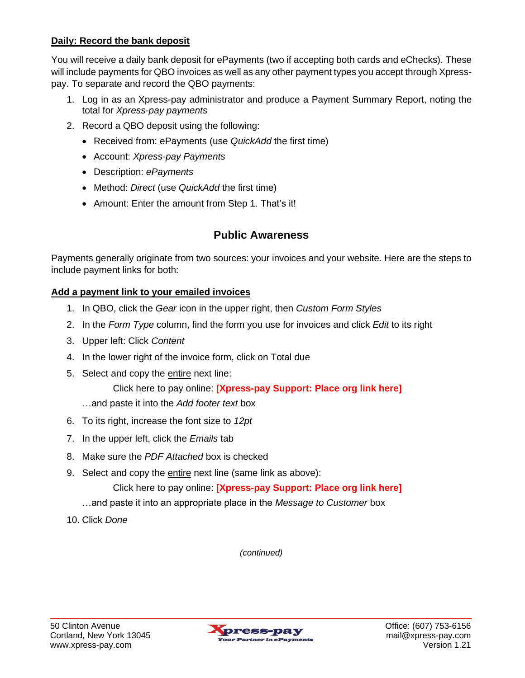# **Daily: Record the bank deposit**

You will receive a daily bank deposit for ePayments (two if accepting both cards and eChecks). These will include payments for QBO invoices as well as any other payment types you accept through Xpresspay. To separate and record the QBO payments:

- 1. Log in as an Xpress-pay administrator and produce a Payment Summary Report, noting the total for *Xpress-pay payments*
- 2. Record a QBO deposit using the following:
	- Received from: ePayments (use *QuickAdd* the first time)
	- Account: *Xpress-pay Payments*
	- Description: *ePayments*
	- Method: *Direct* (use *QuickAdd* the first time)
	- Amount: Enter the amount from Step 1. That's it!

# **Public Awareness**

Payments generally originate from two sources: your invoices and your website. Here are the steps to include payment links for both:

# **Add a payment link to your emailed invoices**

- 1. In QBO, click the *Gear* icon in the upper right, then *Custom Form Styles*
- 2. In the *Form Type* column, find the form you use for invoices and click *Edit* to its right
- 3. Upper left: Click *Content*
- 4. In the lower right of the invoice form, click on Total due
- 5. Select and copy the entire next line:

Click here to pay online: **[Xpress-pay Support: Place org link here]**

- …and paste it into the *Add footer text* box
- 6. To its right, increase the font size to *12pt*
- 7. In the upper left, click the *Emails* tab
- 8. Make sure the *PDF Attached* box is checked
- 9. Select and copy the entire next line (same link as above):

Click here to pay online: **[Xpress-pay Support: Place org link here]**

- …and paste it into an appropriate place in the *Message to Customer* box
- 10. Click *Done*

*(continued)*